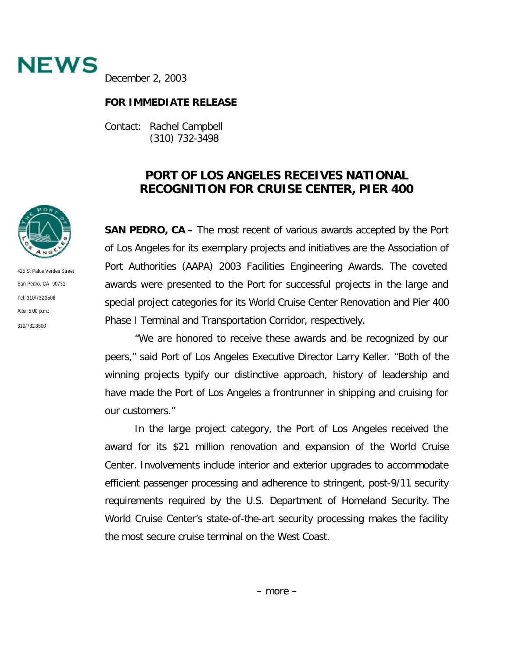

December 2, 2003

## **FOR IMMEDIATE RELEASE**

Contact: Rachel Campbell (310) 732-3498

## **PORT OF LOS ANGELES RECEIVES NATIONAL RECOGNITION FOR CRUISE CENTER, PIER 400**

**SAN PEDRO, CA –** The most recent of various awards accepted by the Port of Los Angeles for its exemplary projects and initiatives are the Association of Port Authorities (AAPA) 2003 Facilities Engineering Awards. The coveted awards were presented to the Port for successful projects in the large and special project categories for its World Cruise Center Renovation and Pier 400 Phase I Terminal and Transportation Corridor, respectively.

"We are honored to receive these awards and be recognized by our peers," said Port of Los Angeles Executive Director Larry Keller. "Both of the winning projects typify our distinctive approach, history of leadership and have made the Port of Los Angeles a frontrunner in shipping and cruising for our customers."

In the large project category, the Port of Los Angeles received the award for its \$21 million renovation and expansion of the World Cruise Center. Involvements include interior and exterior upgrades to accommodate efficient passenger processing and adherence to stringent, post-9/11 security requirements required by the U.S. Department of Homeland Security. The World Cruise Center's state-of-the-art security processing makes the facility the most secure cruise terminal on the West Coast.



425 S. Palos Verdes Street San Pedro, CA 90731 Tel: 310/732-3508 After 5:00 p.m.: 310/732-3500